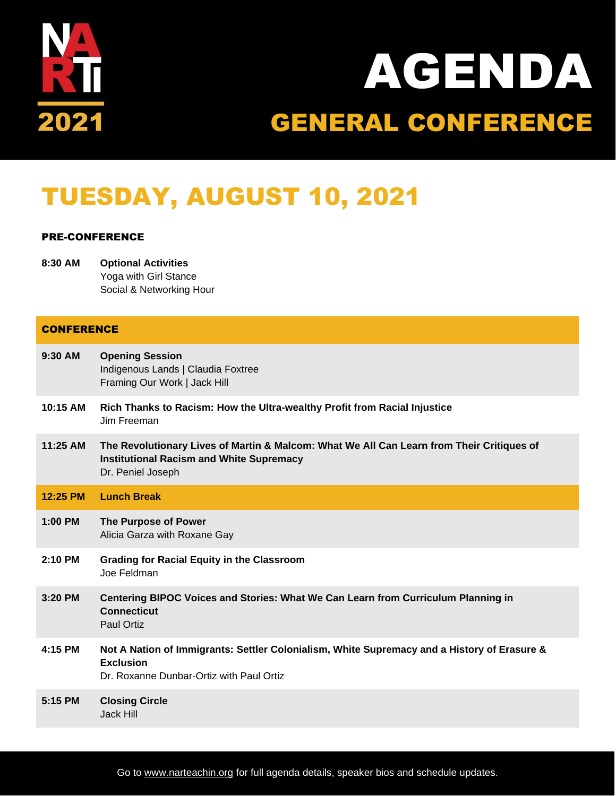

# AGENDA GENERAL CONFERENCE

## TUESDAY, AUGUST 10, 2021

### PRE-CONFERENCE

**8:30 AM Optional Activities** Yoga with Girl Stance Social & Networking Hour

| <b>CONFERENCE</b> |                                                                                                                                                                   |  |
|-------------------|-------------------------------------------------------------------------------------------------------------------------------------------------------------------|--|
| $9:30$ AM         | <b>Opening Session</b><br>Indigenous Lands   Claudia Foxtree<br>Framing Our Work   Jack Hill                                                                      |  |
| 10:15 AM          | Rich Thanks to Racism: How the Ultra-wealthy Profit from Racial Injustice<br>Jim Freeman                                                                          |  |
| 11:25 AM          | The Revolutionary Lives of Martin & Malcom: What We All Can Learn from Their Critiques of<br><b>Institutional Racism and White Supremacy</b><br>Dr. Peniel Joseph |  |
| 12:25 PM          | <b>Lunch Break</b>                                                                                                                                                |  |
| $1:00$ PM         | The Purpose of Power<br>Alicia Garza with Roxane Gay                                                                                                              |  |
| 2:10 PM           | <b>Grading for Racial Equity in the Classroom</b><br>Joe Feldman                                                                                                  |  |
| $3:20$ PM         | Centering BIPOC Voices and Stories: What We Can Learn from Curriculum Planning in<br><b>Connecticut</b><br><b>Paul Ortiz</b>                                      |  |
| 4:15 PM           | Not A Nation of Immigrants: Settler Colonialism, White Supremacy and a History of Erasure &<br><b>Exclusion</b><br>Dr. Roxanne Dunbar-Ortiz with Paul Ortiz       |  |
| 5:15 PM           | <b>Closing Circle</b><br>Jack Hill                                                                                                                                |  |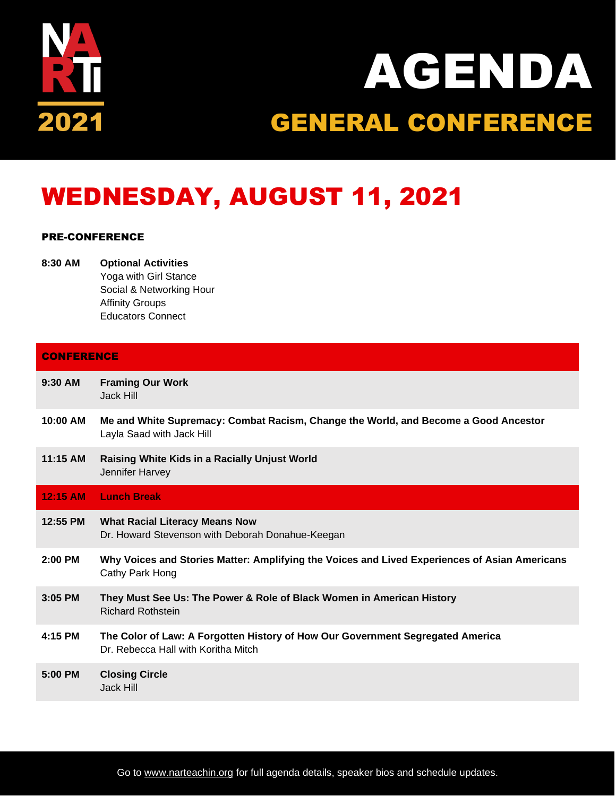

# AGENDA GENERAL CONFERENCE

## WEDNESDAY, AUGUST 11, 2021

### PRE-CONFERENCE

**8:30 AM Optional Activities** Yoga with Girl Stance Social & Networking Hour Affinity Groups Educators Connect

| <b>CONFERENCE</b> |  |
|-------------------|--|

| $9:30$ AM | <b>Framing Our Work</b> |
|-----------|-------------------------|
|           | Jack Hill               |

- **10:00 AM Me and White Supremacy: Combat Racism, Change the World, and Become a Good Ancestor** Layla Saad with Jack Hill
- **11:15 AM Raising White Kids in a Racially Unjust World** Jennifer Harvey

|           | 12:15 AM Lunch Break                                                                                                  |
|-----------|-----------------------------------------------------------------------------------------------------------------------|
| 12:55 PM  | <b>What Racial Literacy Means Now</b><br>Dr. Howard Stevenson with Deborah Donahue-Keegan                             |
| $2:00$ PM | Why Voices and Stories Matter: Amplifying the Voices and Lived Experiences of Asian Americans<br>Cathy Park Hong      |
| $3:05$ PM | They Must See Us: The Power & Role of Black Women in American History<br><b>Richard Rothstein</b>                     |
| 4:15 PM   | The Color of Law: A Forgotten History of How Our Government Segregated America<br>Dr. Rebecca Hall with Koritha Mitch |
| 5:00 PM   | <b>Closing Circle</b><br>Jack Hill                                                                                    |